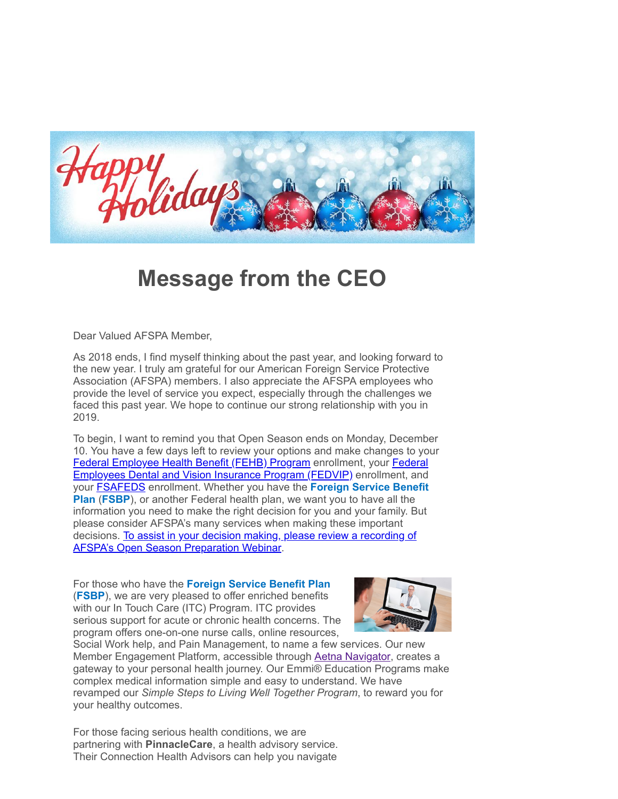

## **Message from the CEO**

Dear Valued AFSPA Member,

As 2018 ends, I find myself thinking about the past year, and looking forward to the new year. I truly am grateful for our American Foreign Service Protective Association (AFSPA) members. I also appreciate the AFSPA employees who provide the level of service you expect, especially through the challenges we faced this past year. We hope to continue our strong relationship with you in 2019.

To begin, I want to remind you that Open Season ends on Monday, December 10. You have a few days left to review your options and make changes to your [Federal Employee Health Benefit \(FEHB\) Program](https://www.opm.gov/healthcare-insurance/open-season/) [enrollment, your Federal](http://www.benefeds.com/) Employees Dental and Vision Insurance Program (FEDVIP) enrollment, and your [FSAFEDS](http://www.fsafeds.com/) enrollment. Whether you have the **Foreign Service Benefit Plan** (**FSBP**), or another Federal health plan, we want you to have all the information you need to make the right decision for you and your family. But please consider AFSPA's many services when making these important [decisions. To assist in your decision making, please review a recording of](https://www.youtube.com/watch?v=PHbrNA2ULls&feature=youtu.be) AFSPA's Open Season Preparation Webinar.

For those who have the **Foreign Service Benefit Plan** (**FSBP**), we are very pleased to offer enriched benefits with our In Touch Care (ITC) Program. ITC provides serious support for acute or chronic health concerns. The program offers one-on-one nurse calls, online resources,



Social Work help, and Pain Management, to name a few services. Our new Member Engagement Platform, accessible through [Aetna Navigator](http://www.aetnanavigator.com/), creates a gateway to your personal health journey. Our Emmi® Education Programs make complex medical information simple and easy to understand. We have revamped our *Simple Steps to Living Well Together Program*, to reward you for your healthy outcomes.

For those facing serious health conditions, we are partnering with **PinnacleCare**, a health advisory service. Their Connection Health Advisors can help you navigate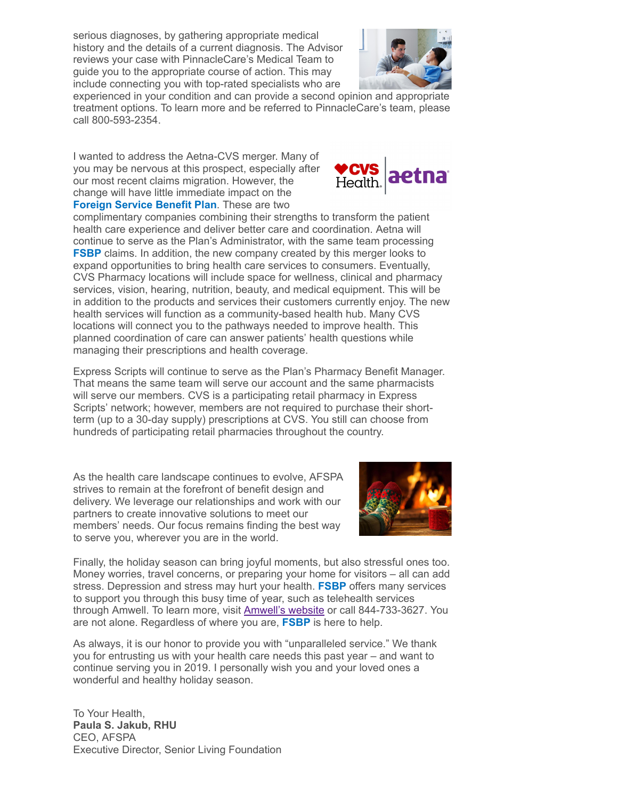serious diagnoses, by gathering appropriate medical history and the details of a current diagnosis. The Advisor reviews your case with PinnacleCare's Medical Team to guide you to the appropriate course of action. This may include connecting you with top-rated specialists who are



experienced in your condition and can provide a second opinion and appropriate treatment options. To learn more and be referred to PinnacleCare's team, please call 800-593-2354.

I wanted to address the Aetna-CVS merger. Many of you may be nervous at this prospect, especially after our most recent claims migration. However, the change will have little immediate impact on the **Foreign Service Benefit Plan**. These are two



complimentary companies combining their strengths to transform the patient health care experience and deliver better care and coordination. Aetna will continue to serve as the Plan's Administrator, with the same team processing **FSBP** claims. In addition, the new company created by this merger looks to expand opportunities to bring health care services to consumers. Eventually, CVS Pharmacy locations will include space for wellness, clinical and pharmacy services, vision, hearing, nutrition, beauty, and medical equipment. This will be in addition to the products and services their customers currently enjoy. The new health services will function as a community-based health hub. Many CVS locations will connect you to the pathways needed to improve health. This planned coordination of care can answer patients' health questions while managing their prescriptions and health coverage.

Express Scripts will continue to serve as the Plan's Pharmacy Benefit Manager. That means the same team will serve our account and the same pharmacists will serve our members. CVS is a participating retail pharmacy in Express Scripts' network; however, members are not required to purchase their shortterm (up to a 30-day supply) prescriptions at CVS. You still can choose from hundreds of participating retail pharmacies throughout the country.

As the health care landscape continues to evolve, AFSPA strives to remain at the forefront of benefit design and delivery. We leverage our relationships and work with our partners to create innovative solutions to meet our members' needs. Our focus remains finding the best way to serve you, wherever you are in the world.



Finally, the holiday season can bring joyful moments, but also stressful ones too. Money worries, travel concerns, or preparing your home for visitors – all can add stress. Depression and stress may hurt your health. **FSBP** offers many services to support you through this busy time of year, such as telehealth services through Amwell. To learn more, visit **Amwell's website** or call 844-733-3627. You are not alone. Regardless of where you are, **FSBP** is here to help.

As always, it is our honor to provide you with "unparalleled service." We thank you for entrusting us with your health care needs this past year – and want to continue serving you in 2019. I personally wish you and your loved ones a wonderful and healthy holiday season.

To Your Health, **Paula S. Jakub, RHU** CEO, AFSPA Executive Director, Senior Living Foundation